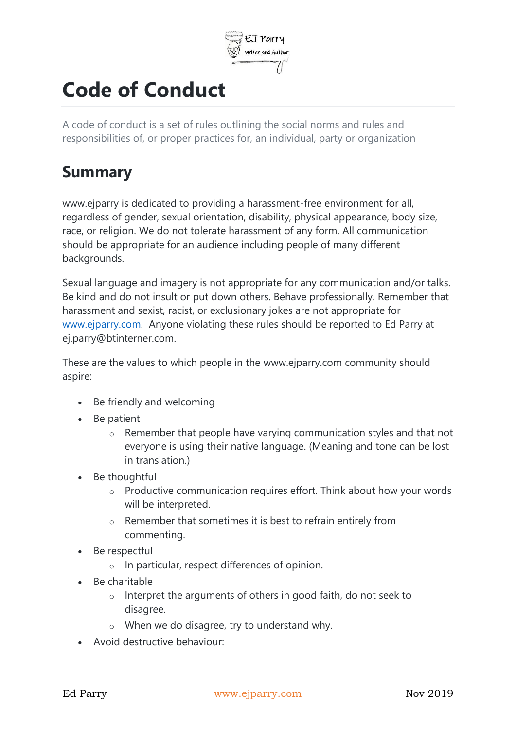

## **Code of Conduct**

A code of conduct is a set of rules outlining the social norms and rules and responsibilities of, or proper practices for, an individual, party or organization

## **Summary**

www.ejparry is dedicated to providing a harassment-free environment for all, regardless of gender, sexual orientation, disability, physical appearance, body size, race, or religion. We do not tolerate harassment of any form. All communication should be appropriate for an audience including people of many different backgrounds.

Sexual language and imagery is not appropriate for any communication and/or talks. Be kind and do not insult or put down others. Behave professionally. Remember that harassment and sexist, racist, or exclusionary jokes are not appropriate for [www.ejparry.com.](http://www.ejparry.com/) Anyone violating these rules should be reported to Ed Parry at ej.parry@btinterner.com.

These are the values to which people in the www.ejparry.com community should aspire:

- Be friendly and welcoming
- Be patient
	- o Remember that people have varying communication styles and that not everyone is using their native language. (Meaning and tone can be lost in translation.)
- Be thoughtful
	- o Productive communication requires effort. Think about how your words will be interpreted.
	- o Remember that sometimes it is best to refrain entirely from commenting.
- Be respectful
	- o In particular, respect differences of opinion.
- Be charitable
	- o Interpret the arguments of others in good faith, do not seek to disagree.
	- o When we do disagree, try to understand why.
- Avoid destructive behaviour: